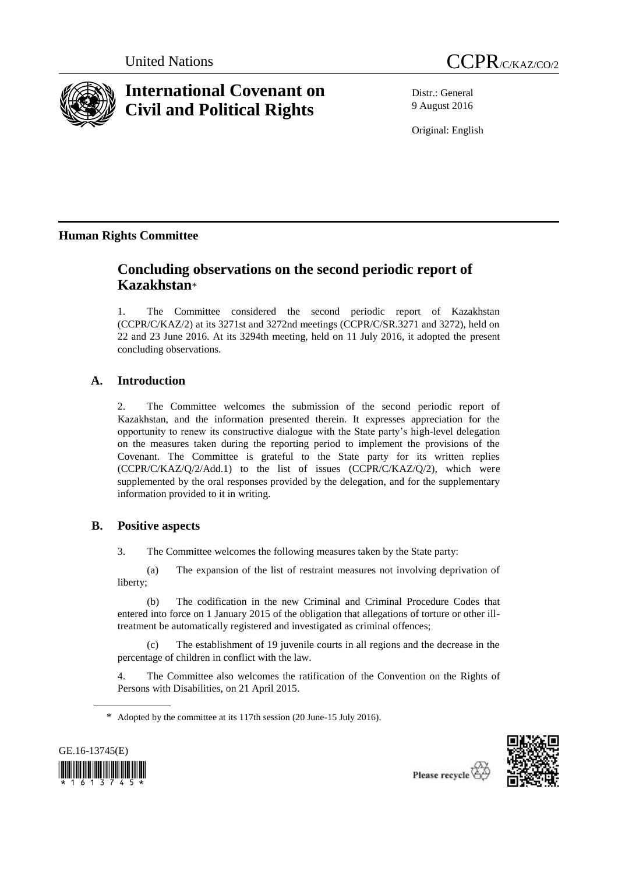



# **International Covenant on Civil and Political Rights**

Distr.: General 9 August 2016

Original: English

# **Human Rights Committee**

# **Concluding observations on the second periodic report of Kazakhstan**\*

1. The Committee considered the second periodic report of Kazakhstan (CCPR/C/KAZ/2) at its 3271st and 3272nd meetings (CCPR/C/SR.3271 and 3272), held on 22 and 23 June 2016. At its 3294th meeting, held on 11 July 2016, it adopted the present concluding observations.

# **A. Introduction**

2. The Committee welcomes the submission of the second periodic report of Kazakhstan, and the information presented therein. It expresses appreciation for the opportunity to renew its constructive dialogue with the State party's high-level delegation on the measures taken during the reporting period to implement the provisions of the Covenant. The Committee is grateful to the State party for its written replies (CCPR/C/KAZ/Q/2/Add.1) to the list of issues (CCPR/C/KAZ/Q/2), which were supplemented by the oral responses provided by the delegation, and for the supplementary information provided to it in writing.

# **B. Positive aspects**

3. The Committee welcomes the following measures taken by the State party:

(a) The expansion of the list of restraint measures not involving deprivation of liberty;

(b) The codification in the new Criminal and Criminal Procedure Codes that entered into force on 1 January 2015 of the obligation that allegations of torture or other illtreatment be automatically registered and investigated as criminal offences;

The establishment of 19 juvenile courts in all regions and the decrease in the percentage of children in conflict with the law.

4. The Committee also welcomes the ratification of the Convention on the Rights of Persons with Disabilities, on 21 April 2015.

<sup>\*</sup> Adopted by the committee at its 117th session (20 June-15 July 2016).





Please recycle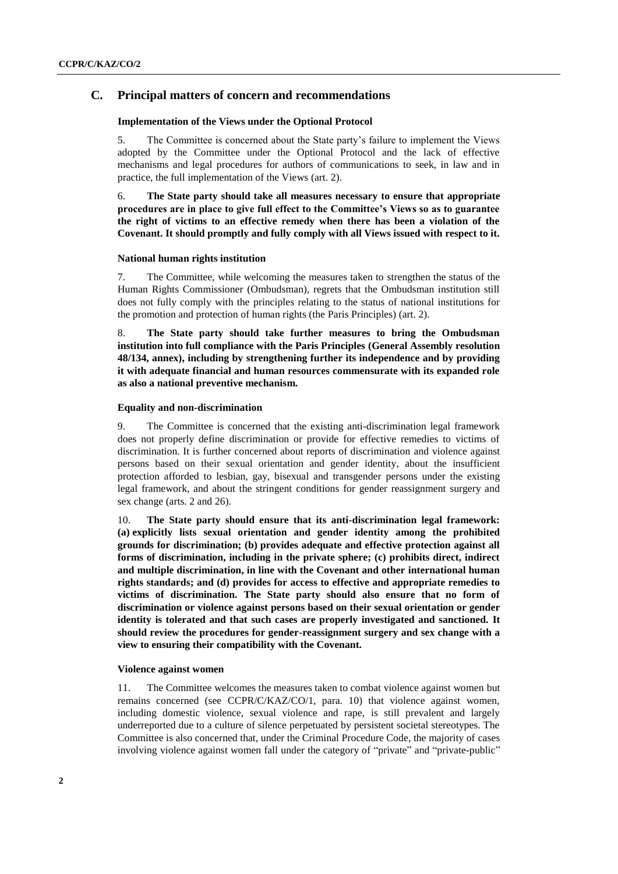## **C. Principal matters of concern and recommendations**

#### **Implementation of the Views under the Optional Protocol**

5. The Committee is concerned about the State party's failure to implement the Views adopted by the Committee under the Optional Protocol and the lack of effective mechanisms and legal procedures for authors of communications to seek, in law and in practice, the full implementation of the Views (art. 2).

6. **The State party should take all measures necessary to ensure that appropriate procedures are in place to give full effect to the Committee's Views so as to guarantee the right of victims to an effective remedy when there has been a violation of the Covenant. It should promptly and fully comply with all Views issued with respect to it.** 

#### **National human rights institution**

7. The Committee, while welcoming the measures taken to strengthen the status of the Human Rights Commissioner (Ombudsman), regrets that the Ombudsman institution still does not fully comply with the principles relating to the status of national institutions for the promotion and protection of human rights (the Paris Principles) (art. 2).

8. **The State party should take further measures to bring the Ombudsman institution into full compliance with the Paris Principles (General Assembly resolution 48/134, annex), including by strengthening further its independence and by providing it with adequate financial and human resources commensurate with its expanded role as also a national preventive mechanism.**

#### **Equality and non-discrimination**

9. The Committee is concerned that the existing anti-discrimination legal framework does not properly define discrimination or provide for effective remedies to victims of discrimination. It is further concerned about reports of discrimination and violence against persons based on their sexual orientation and gender identity, about the insufficient protection afforded to lesbian, gay, bisexual and transgender persons under the existing legal framework, and about the stringent conditions for gender reassignment surgery and sex change (arts. 2 and 26).

10. **The State party should ensure that its anti-discrimination legal framework: (a) explicitly lists sexual orientation and gender identity among the prohibited grounds for discrimination; (b) provides adequate and effective protection against all forms of discrimination, including in the private sphere; (c) prohibits direct, indirect and multiple discrimination, in line with the Covenant and other international human rights standards; and (d) provides for access to effective and appropriate remedies to victims of discrimination. The State party should also ensure that no form of discrimination or violence against persons based on their sexual orientation or gender identity is tolerated and that such cases are properly investigated and sanctioned. It should review the procedures for gender-reassignment surgery and sex change with a view to ensuring their compatibility with the Covenant.**

#### **Violence against women**

11. The Committee welcomes the measures taken to combat violence against women but remains concerned (see CCPR/C/KAZ/CO/1, para. 10) that violence against women, including domestic violence, sexual violence and rape, is still prevalent and largely underreported due to a culture of silence perpetuated by persistent societal stereotypes. The Committee is also concerned that, under the Criminal Procedure Code, the majority of cases involving violence against women fall under the category of "private" and "private-public"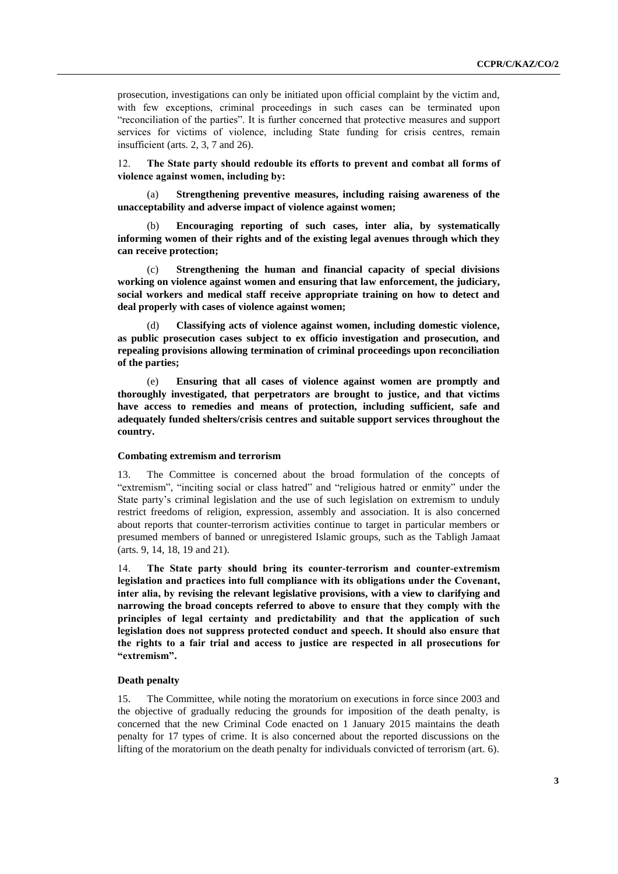prosecution, investigations can only be initiated upon official complaint by the victim and, with few exceptions, criminal proceedings in such cases can be terminated upon "reconciliation of the parties". It is further concerned that protective measures and support services for victims of violence, including State funding for crisis centres, remain insufficient (arts. 2, 3, 7 and 26).

12. **The State party should redouble its efforts to prevent and combat all forms of violence against women, including by:**

(a) **Strengthening preventive measures, including raising awareness of the unacceptability and adverse impact of violence against women;**

(b) **Encouraging reporting of such cases, inter alia, by systematically informing women of their rights and of the existing legal avenues through which they can receive protection;** 

(c) **Strengthening the human and financial capacity of special divisions working on violence against women and ensuring that law enforcement, the judiciary, social workers and medical staff receive appropriate training on how to detect and deal properly with cases of violence against women;**

(d) **Classifying acts of violence against women, including domestic violence, as public prosecution cases subject to ex officio investigation and prosecution, and repealing provisions allowing termination of criminal proceedings upon reconciliation of the parties;**

(e) **Ensuring that all cases of violence against women are promptly and thoroughly investigated, that perpetrators are brought to justice, and that victims have access to remedies and means of protection, including sufficient, safe and adequately funded shelters/crisis centres and suitable support services throughout the country.**

### **Combating extremism and terrorism**

13. The Committee is concerned about the broad formulation of the concepts of "extremism", "inciting social or class hatred" and "religious hatred or enmity" under the State party's criminal legislation and the use of such legislation on extremism to unduly restrict freedoms of religion, expression, assembly and association. It is also concerned about reports that counter-terrorism activities continue to target in particular members or presumed members of banned or unregistered Islamic groups, such as the Tabligh Jamaat (arts. 9, 14, 18, 19 and 21).

14. **The State party should bring its counter-terrorism and counter-extremism legislation and practices into full compliance with its obligations under the Covenant, inter alia, by revising the relevant legislative provisions, with a view to clarifying and narrowing the broad concepts referred to above to ensure that they comply with the principles of legal certainty and predictability and that the application of such legislation does not suppress protected conduct and speech. It should also ensure that the rights to a fair trial and access to justice are respected in all prosecutions for "extremism".**

#### **Death penalty**

15. The Committee, while noting the moratorium on executions in force since 2003 and the objective of gradually reducing the grounds for imposition of the death penalty, is concerned that the new Criminal Code enacted on 1 January 2015 maintains the death penalty for 17 types of crime. It is also concerned about the reported discussions on the lifting of the moratorium on the death penalty for individuals convicted of terrorism (art. 6).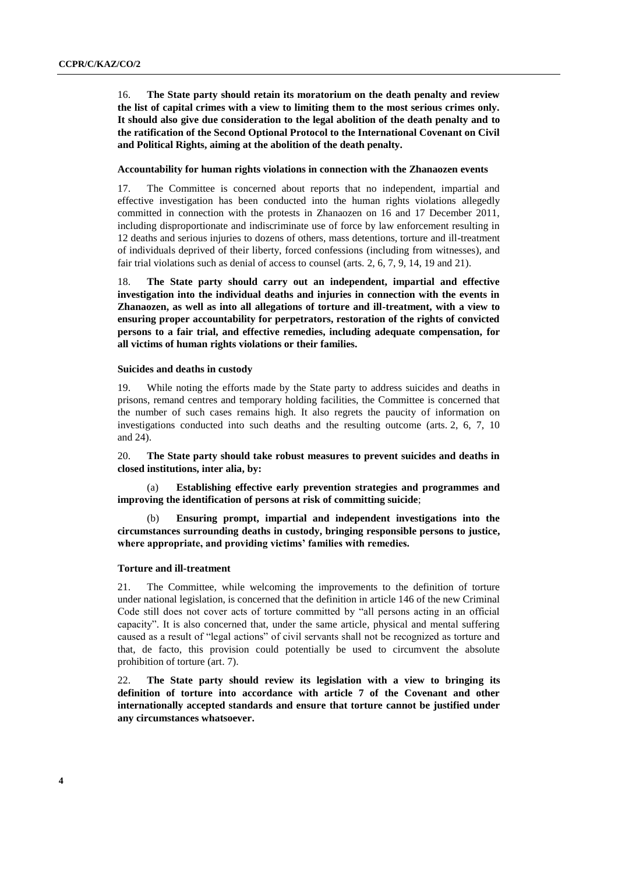16. **The State party should retain its moratorium on the death penalty and review the list of capital crimes with a view to limiting them to the most serious crimes only. It should also give due consideration to the legal abolition of the death penalty and to the ratification of the Second Optional Protocol to the International Covenant on Civil and Political Rights, aiming at the abolition of the death penalty.**

#### **Accountability for human rights violations in connection with the Zhanaozen events**

17. The Committee is concerned about reports that no independent, impartial and effective investigation has been conducted into the human rights violations allegedly committed in connection with the protests in Zhanaozen on 16 and 17 December 2011, including disproportionate and indiscriminate use of force by law enforcement resulting in 12 deaths and serious injuries to dozens of others, mass detentions, torture and ill-treatment of individuals deprived of their liberty, forced confessions (including from witnesses), and fair trial violations such as denial of access to counsel (arts. 2, 6, 7, 9, 14, 19 and 21).

18. **The State party should carry out an independent, impartial and effective investigation into the individual deaths and injuries in connection with the events in Zhanaozen, as well as into all allegations of torture and ill-treatment, with a view to ensuring proper accountability for perpetrators, restoration of the rights of convicted persons to a fair trial, and effective remedies, including adequate compensation, for all victims of human rights violations or their families.**

#### **Suicides and deaths in custody**

19. While noting the efforts made by the State party to address suicides and deaths in prisons, remand centres and temporary holding facilities, the Committee is concerned that the number of such cases remains high. It also regrets the paucity of information on investigations conducted into such deaths and the resulting outcome (arts. 2, 6, 7, 10 and 24).

20. **The State party should take robust measures to prevent suicides and deaths in closed institutions, inter alia, by:**

(a) **Establishing effective early prevention strategies and programmes and improving the identification of persons at risk of committing suicide**;

(b) **Ensuring prompt, impartial and independent investigations into the circumstances surrounding deaths in custody, bringing responsible persons to justice, where appropriate, and providing victims' families with remedies.**

#### **Torture and ill-treatment**

21. The Committee, while welcoming the improvements to the definition of torture under national legislation, is concerned that the definition in article 146 of the new Criminal Code still does not cover acts of torture committed by "all persons acting in an official capacity". It is also concerned that, under the same article, physical and mental suffering caused as a result of "legal actions" of civil servants shall not be recognized as torture and that, de facto, this provision could potentially be used to circumvent the absolute prohibition of torture (art. 7).

22. **The State party should review its legislation with a view to bringing its definition of torture into accordance with article 7 of the Covenant and other internationally accepted standards and ensure that torture cannot be justified under any circumstances whatsoever.**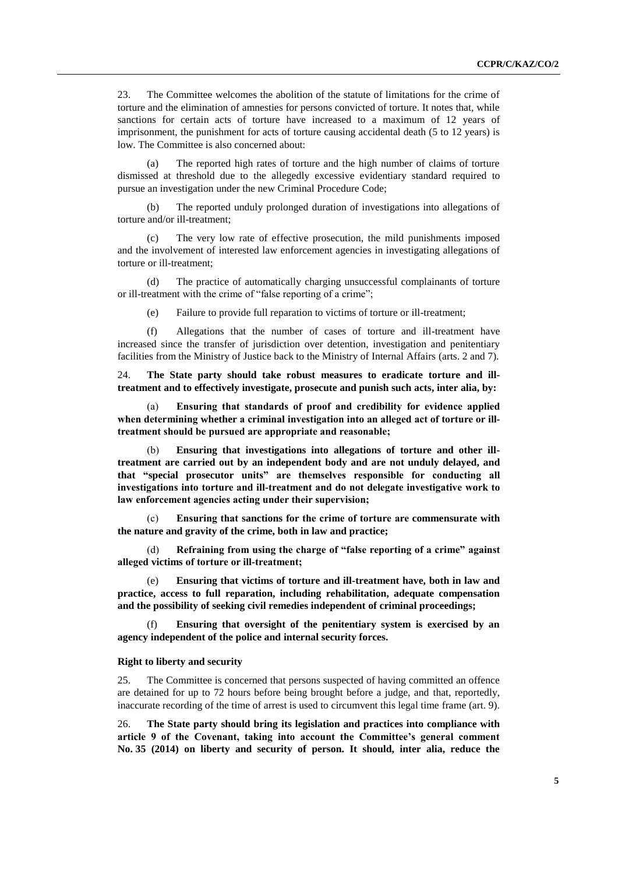23. The Committee welcomes the abolition of the statute of limitations for the crime of torture and the elimination of amnesties for persons convicted of torture. It notes that, while sanctions for certain acts of torture have increased to a maximum of 12 years of imprisonment, the punishment for acts of torture causing accidental death (5 to 12 years) is low. The Committee is also concerned about:

(a) The reported high rates of torture and the high number of claims of torture dismissed at threshold due to the allegedly excessive evidentiary standard required to pursue an investigation under the new Criminal Procedure Code;

The reported unduly prolonged duration of investigations into allegations of torture and/or ill-treatment;

(c) The very low rate of effective prosecution, the mild punishments imposed and the involvement of interested law enforcement agencies in investigating allegations of torture or ill-treatment;

(d) The practice of automatically charging unsuccessful complainants of torture or ill-treatment with the crime of "false reporting of a crime";

(e) Failure to provide full reparation to victims of torture or ill-treatment;

(f) Allegations that the number of cases of torture and ill-treatment have increased since the transfer of jurisdiction over detention, investigation and penitentiary facilities from the Ministry of Justice back to the Ministry of Internal Affairs (arts. 2 and 7).

24. **The State party should take robust measures to eradicate torture and illtreatment and to effectively investigate, prosecute and punish such acts, inter alia, by:**

(a) **Ensuring that standards of proof and credibility for evidence applied when determining whether a criminal investigation into an alleged act of torture or illtreatment should be pursued are appropriate and reasonable;**

(b) **Ensuring that investigations into allegations of torture and other illtreatment are carried out by an independent body and are not unduly delayed, and that "special prosecutor units" are themselves responsible for conducting all investigations into torture and ill-treatment and do not delegate investigative work to law enforcement agencies acting under their supervision;**

(c) **Ensuring that sanctions for the crime of torture are commensurate with the nature and gravity of the crime, both in law and practice;**

(d) **Refraining from using the charge of "false reporting of a crime" against alleged victims of torture or ill-treatment;**

(e) **Ensuring that victims of torture and ill-treatment have, both in law and practice, access to full reparation, including rehabilitation, adequate compensation and the possibility of seeking civil remedies independent of criminal proceedings;**

Ensuring that oversight of the penitentiary system is exercised by an **agency independent of the police and internal security forces.**

#### **Right to liberty and security**

25. The Committee is concerned that persons suspected of having committed an offence are detained for up to 72 hours before being brought before a judge, and that, reportedly, inaccurate recording of the time of arrest is used to circumvent this legal time frame (art. 9).

26. **The State party should bring its legislation and practices into compliance with article 9 of the Covenant, taking into account the Committee's general comment No. 35 (2014) on liberty and security of person. It should, inter alia, reduce the**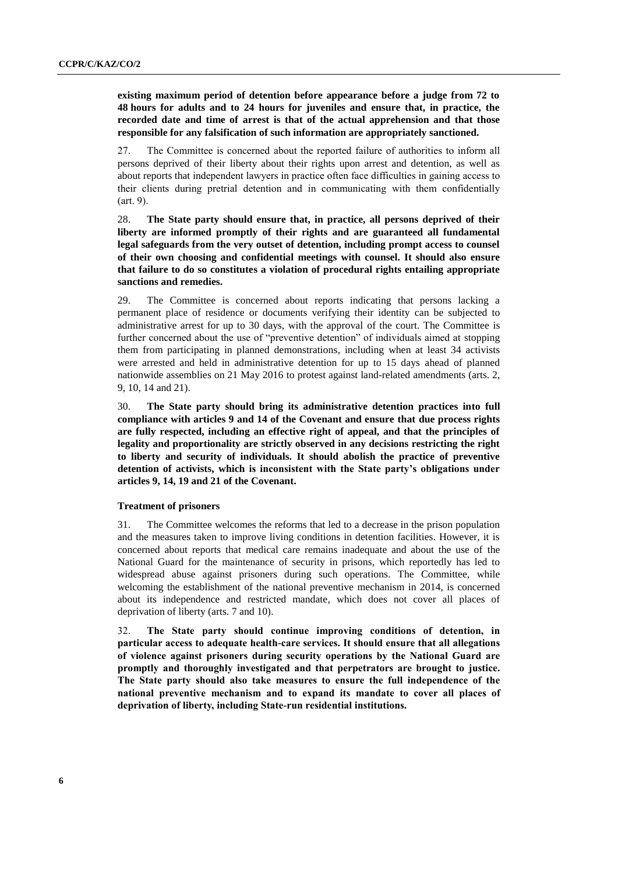**existing maximum period of detention before appearance before a judge from 72 to 48 hours for adults and to 24 hours for juveniles and ensure that, in practice, the recorded date and time of arrest is that of the actual apprehension and that those responsible for any falsification of such information are appropriately sanctioned.** 

27. The Committee is concerned about the reported failure of authorities to inform all persons deprived of their liberty about their rights upon arrest and detention, as well as about reports that independent lawyers in practice often face difficulties in gaining access to their clients during pretrial detention and in communicating with them confidentially (art. 9).

28. **The State party should ensure that, in practice, all persons deprived of their liberty are informed promptly of their rights and are guaranteed all fundamental legal safeguards from the very outset of detention, including prompt access to counsel of their own choosing and confidential meetings with counsel. It should also ensure that failure to do so constitutes a violation of procedural rights entailing appropriate sanctions and remedies.**

29. The Committee is concerned about reports indicating that persons lacking a permanent place of residence or documents verifying their identity can be subjected to administrative arrest for up to 30 days, with the approval of the court. The Committee is further concerned about the use of "preventive detention" of individuals aimed at stopping them from participating in planned demonstrations, including when at least 34 activists were arrested and held in administrative detention for up to 15 days ahead of planned nationwide assemblies on 21 May 2016 to protest against land-related amendments (arts. 2, 9, 10, 14 and 21).

30. **The State party should bring its administrative detention practices into full compliance with articles 9 and 14 of the Covenant and ensure that due process rights are fully respected, including an effective right of appeal, and that the principles of legality and proportionality are strictly observed in any decisions restricting the right to liberty and security of individuals. It should abolish the practice of preventive detention of activists, which is inconsistent with the State party's obligations under articles 9, 14, 19 and 21 of the Covenant.** 

#### **Treatment of prisoners**

31. The Committee welcomes the reforms that led to a decrease in the prison population and the measures taken to improve living conditions in detention facilities. However, it is concerned about reports that medical care remains inadequate and about the use of the National Guard for the maintenance of security in prisons, which reportedly has led to widespread abuse against prisoners during such operations. The Committee, while welcoming the establishment of the national preventive mechanism in 2014, is concerned about its independence and restricted mandate, which does not cover all places of deprivation of liberty (arts. 7 and 10).

32. **The State party should continue improving conditions of detention, in particular access to adequate health-care services. It should ensure that all allegations of violence against prisoners during security operations by the National Guard are promptly and thoroughly investigated and that perpetrators are brought to justice. The State party should also take measures to ensure the full independence of the national preventive mechanism and to expand its mandate to cover all places of deprivation of liberty, including State-run residential institutions.**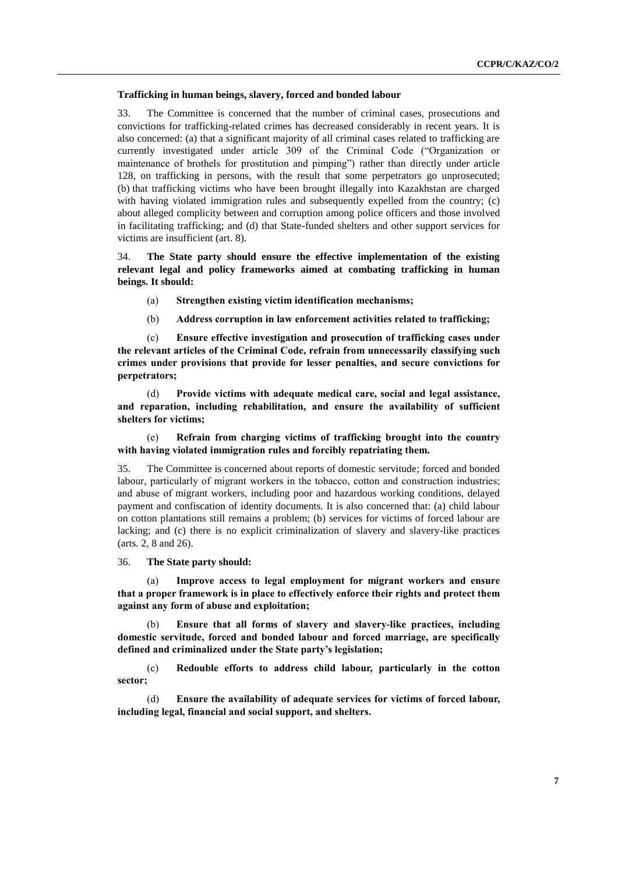#### **Trafficking in human beings, slavery, forced and bonded labour**

33. The Committee is concerned that the number of criminal cases, prosecutions and convictions for trafficking-related crimes has decreased considerably in recent years. It is also concerned: (a) that a significant majority of all criminal cases related to trafficking are currently investigated under article 309 of the Criminal Code ("Organization or maintenance of brothels for prostitution and pimping") rather than directly under article 128, on trafficking in persons, with the result that some perpetrators go unprosecuted; (b) that trafficking victims who have been brought illegally into Kazakhstan are charged with having violated immigration rules and subsequently expelled from the country; (c) about alleged complicity between and corruption among police officers and those involved in facilitating trafficking; and (d) that State-funded shelters and other support services for victims are insufficient (art. 8).

34. **The State party should ensure the effective implementation of the existing relevant legal and policy frameworks aimed at combating trafficking in human beings. It should:**

- (a) **Strengthen existing victim identification mechanisms;**
- (b) **Address corruption in law enforcement activities related to trafficking;**

(c) **Ensure effective investigation and prosecution of trafficking cases under the relevant articles of the Criminal Code, refrain from unnecessarily classifying such crimes under provisions that provide for lesser penalties, and secure convictions for perpetrators;**

(d) **Provide victims with adequate medical care, social and legal assistance, and reparation, including rehabilitation, and ensure the availability of sufficient shelters for victims;**

### (e) **Refrain from charging victims of trafficking brought into the country with having violated immigration rules and forcibly repatriating them.**

35. The Committee is concerned about reports of domestic servitude; forced and bonded labour, particularly of migrant workers in the tobacco, cotton and construction industries; and abuse of migrant workers, including poor and hazardous working conditions, delayed payment and confiscation of identity documents. It is also concerned that: (a) child labour on cotton plantations still remains a problem; (b) services for victims of forced labour are lacking; and (c) there is no explicit criminalization of slavery and slavery-like practices (arts. 2, 8 and 26).

#### 36. **The State party should:**

(a) **Improve access to legal employment for migrant workers and ensure that a proper framework is in place to effectively enforce their rights and protect them against any form of abuse and exploitation;**

(b) **Ensure that all forms of slavery and slavery-like practices, including domestic servitude, forced and bonded labour and forced marriage, are specifically defined and criminalized under the State party's legislation;**

(c) **Redouble efforts to address child labour, particularly in the cotton sector;**

(d) **Ensure the availability of adequate services for victims of forced labour, including legal, financial and social support, and shelters.**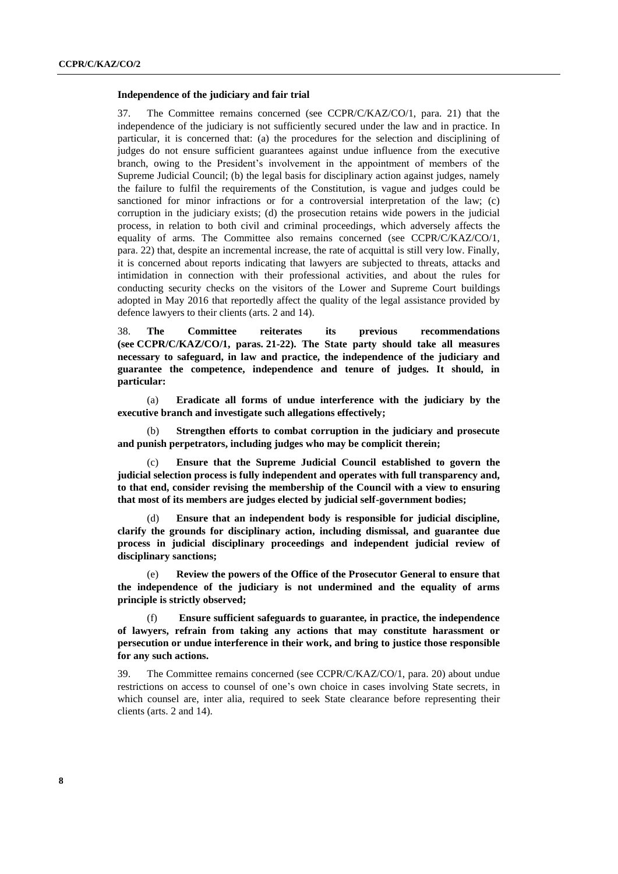#### **Independence of the judiciary and fair trial**

37. The Committee remains concerned (see CCPR/C/KAZ/CO/1, para. 21) that the independence of the judiciary is not sufficiently secured under the law and in practice. In particular, it is concerned that: (a) the procedures for the selection and disciplining of judges do not ensure sufficient guarantees against undue influence from the executive branch, owing to the President's involvement in the appointment of members of the Supreme Judicial Council; (b) the legal basis for disciplinary action against judges, namely the failure to fulfil the requirements of the Constitution, is vague and judges could be sanctioned for minor infractions or for a controversial interpretation of the law; (c) corruption in the judiciary exists; (d) the prosecution retains wide powers in the judicial process, in relation to both civil and criminal proceedings, which adversely affects the equality of arms. The Committee also remains concerned (see CCPR/C/KAZ/CO/1, para. 22) that, despite an incremental increase, the rate of acquittal is still very low. Finally, it is concerned about reports indicating that lawyers are subjected to threats, attacks and intimidation in connection with their professional activities, and about the rules for conducting security checks on the visitors of the Lower and Supreme Court buildings adopted in May 2016 that reportedly affect the quality of the legal assistance provided by defence lawyers to their clients (arts. 2 and 14).

38. **The Committee reiterates its previous recommendations (see CCPR/C/KAZ/CO/1, paras. 21-22). The State party should take all measures necessary to safeguard, in law and practice, the independence of the judiciary and guarantee the competence, independence and tenure of judges. It should, in particular:** 

(a) **Eradicate all forms of undue interference with the judiciary by the executive branch and investigate such allegations effectively;**

(b) **Strengthen efforts to combat corruption in the judiciary and prosecute and punish perpetrators, including judges who may be complicit therein;**

(c) **Ensure that the Supreme Judicial Council established to govern the judicial selection process is fully independent and operates with full transparency and, to that end, consider revising the membership of the Council with a view to ensuring that most of its members are judges elected by judicial self-government bodies;**

(d) **Ensure that an independent body is responsible for judicial discipline, clarify the grounds for disciplinary action, including dismissal, and guarantee due process in judicial disciplinary proceedings and independent judicial review of disciplinary sanctions;**

(e) **Review the powers of the Office of the Prosecutor General to ensure that the independence of the judiciary is not undermined and the equality of arms principle is strictly observed;**

(f) **Ensure sufficient safeguards to guarantee, in practice, the independence of lawyers, refrain from taking any actions that may constitute harassment or persecution or undue interference in their work, and bring to justice those responsible for any such actions.** 

39. The Committee remains concerned (see CCPR/C/KAZ/CO/1, para. 20) about undue restrictions on access to counsel of one's own choice in cases involving State secrets, in which counsel are, inter alia, required to seek State clearance before representing their clients (arts. 2 and 14).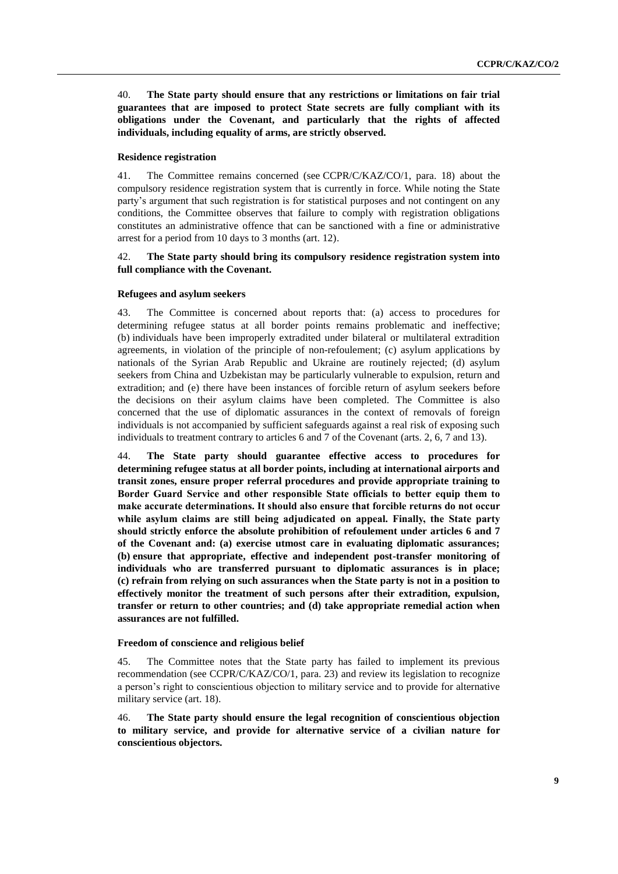40. **The State party should ensure that any restrictions or limitations on fair trial guarantees that are imposed to protect State secrets are fully compliant with its obligations under the Covenant, and particularly that the rights of affected individuals, including equality of arms, are strictly observed.**

#### **Residence registration**

41. The Committee remains concerned (see CCPR/C/KAZ/CO/1, para. 18) about the compulsory residence registration system that is currently in force. While noting the State party's argument that such registration is for statistical purposes and not contingent on any conditions, the Committee observes that failure to comply with registration obligations constitutes an administrative offence that can be sanctioned with a fine or administrative arrest for a period from 10 days to 3 months (art. 12).

### 42. **The State party should bring its compulsory residence registration system into full compliance with the Covenant.**

#### **Refugees and asylum seekers**

43. The Committee is concerned about reports that: (a) access to procedures for determining refugee status at all border points remains problematic and ineffective; (b) individuals have been improperly extradited under bilateral or multilateral extradition agreements, in violation of the principle of non-refoulement; (c) asylum applications by nationals of the Syrian Arab Republic and Ukraine are routinely rejected; (d) asylum seekers from China and Uzbekistan may be particularly vulnerable to expulsion, return and extradition; and (e) there have been instances of forcible return of asylum seekers before the decisions on their asylum claims have been completed. The Committee is also concerned that the use of diplomatic assurances in the context of removals of foreign individuals is not accompanied by sufficient safeguards against a real risk of exposing such individuals to treatment contrary to articles 6 and 7 of the Covenant (arts. 2, 6, 7 and 13).

44. **The State party should guarantee effective access to procedures for determining refugee status at all border points, including at international airports and transit zones, ensure proper referral procedures and provide appropriate training to Border Guard Service and other responsible State officials to better equip them to make accurate determinations. It should also ensure that forcible returns do not occur while asylum claims are still being adjudicated on appeal. Finally, the State party should strictly enforce the absolute prohibition of refoulement under articles 6 and 7 of the Covenant and: (a) exercise utmost care in evaluating diplomatic assurances; (b) ensure that appropriate, effective and independent post-transfer monitoring of individuals who are transferred pursuant to diplomatic assurances is in place; (c) refrain from relying on such assurances when the State party is not in a position to effectively monitor the treatment of such persons after their extradition, expulsion, transfer or return to other countries; and (d) take appropriate remedial action when assurances are not fulfilled.** 

#### **Freedom of conscience and religious belief**

45. The Committee notes that the State party has failed to implement its previous recommendation (see CCPR/C/KAZ/CO/1, para. 23) and review its legislation to recognize a person's right to conscientious objection to military service and to provide for alternative military service (art. 18).

46. **The State party should ensure the legal recognition of conscientious objection to military service, and provide for alternative service of a civilian nature for conscientious objectors.**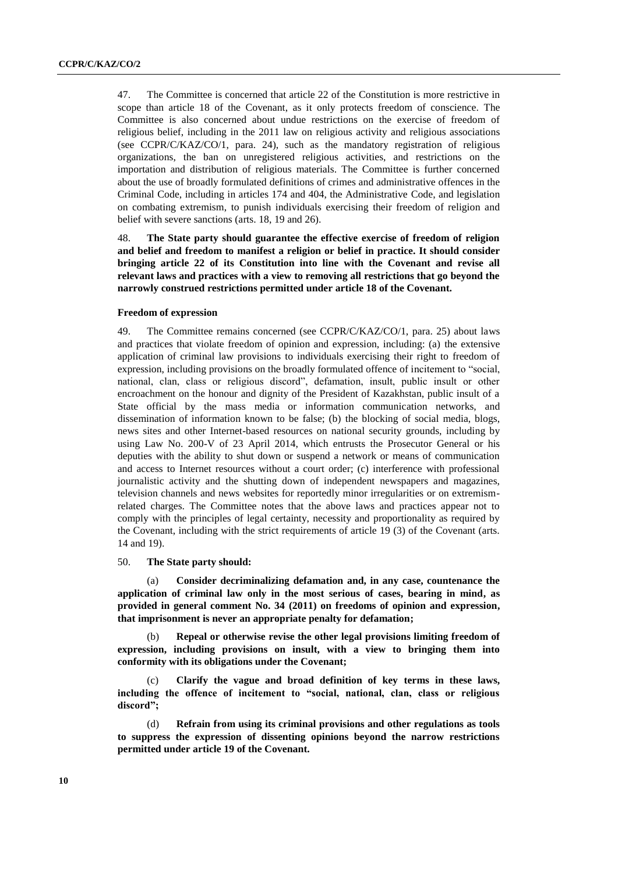47. The Committee is concerned that article 22 of the Constitution is more restrictive in scope than article 18 of the Covenant, as it only protects freedom of conscience. The Committee is also concerned about undue restrictions on the exercise of freedom of religious belief, including in the 2011 law on religious activity and religious associations (see CCPR/C/KAZ/CO/1, para. 24), such as the mandatory registration of religious organizations, the ban on unregistered religious activities, and restrictions on the importation and distribution of religious materials. The Committee is further concerned about the use of broadly formulated definitions of crimes and administrative offences in the Criminal Code, including in articles 174 and 404, the Administrative Code, and legislation on combating extremism, to punish individuals exercising their freedom of religion and belief with severe sanctions (arts. 18, 19 and 26).

48. **The State party should guarantee the effective exercise of freedom of religion and belief and freedom to manifest a religion or belief in practice. It should consider bringing article 22 of its Constitution into line with the Covenant and revise all relevant laws and practices with a view to removing all restrictions that go beyond the narrowly construed restrictions permitted under article 18 of the Covenant.** 

#### **Freedom of expression**

49. The Committee remains concerned (see CCPR/C/KAZ/CO/1, para. 25) about laws and practices that violate freedom of opinion and expression, including: (a) the extensive application of criminal law provisions to individuals exercising their right to freedom of expression, including provisions on the broadly formulated offence of incitement to "social, national, clan, class or religious discord", defamation, insult, public insult or other encroachment on the honour and dignity of the President of Kazakhstan, public insult of a State official by the mass media or information communication networks, and dissemination of information known to be false; (b) the blocking of social media, blogs, news sites and other Internet-based resources on national security grounds, including by using Law No. 200-V of 23 April 2014, which entrusts the Prosecutor General or his deputies with the ability to shut down or suspend a network or means of communication and access to Internet resources without a court order; (c) interference with professional journalistic activity and the shutting down of independent newspapers and magazines, television channels and news websites for reportedly minor irregularities or on extremismrelated charges. The Committee notes that the above laws and practices appear not to comply with the principles of legal certainty, necessity and proportionality as required by the Covenant, including with the strict requirements of article 19 (3) of the Covenant (arts. 14 and 19).

#### 50. **The State party should:**

(a) **Consider decriminalizing defamation and, in any case, countenance the application of criminal law only in the most serious of cases, bearing in mind, as provided in general comment No. 34 (2011) on freedoms of opinion and expression, that imprisonment is never an appropriate penalty for defamation;** 

(b) **Repeal or otherwise revise the other legal provisions limiting freedom of expression, including provisions on insult, with a view to bringing them into conformity with its obligations under the Covenant;** 

(c) **Clarify the vague and broad definition of key terms in these laws, including the offence of incitement to "social, national, clan, class or religious discord";** 

(d) **Refrain from using its criminal provisions and other regulations as tools to suppress the expression of dissenting opinions beyond the narrow restrictions permitted under article 19 of the Covenant.**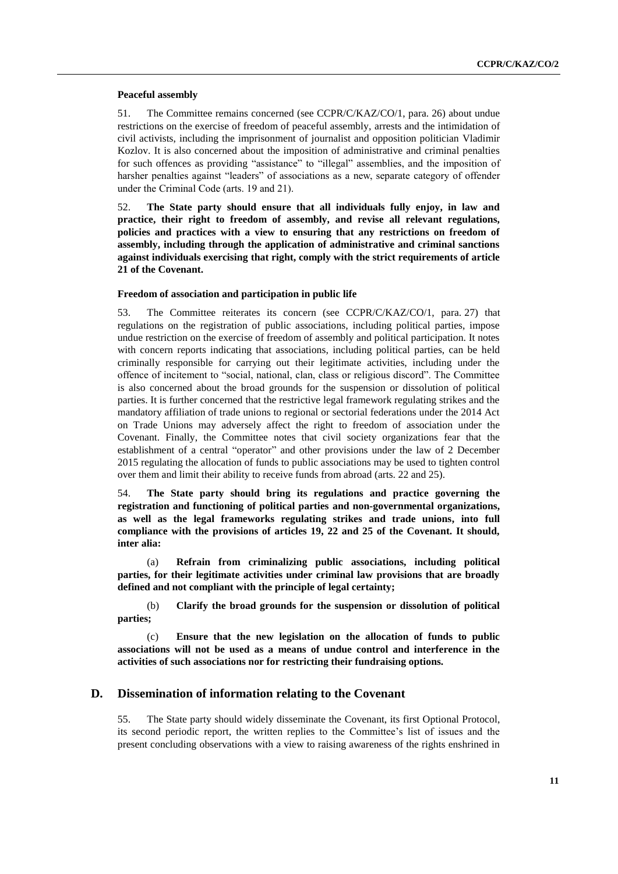#### **Peaceful assembly**

51. The Committee remains concerned (see CCPR/C/KAZ/CO/1, para. 26) about undue restrictions on the exercise of freedom of peaceful assembly, arrests and the intimidation of civil activists, including the imprisonment of journalist and opposition politician Vladimir Kozlov. It is also concerned about the imposition of administrative and criminal penalties for such offences as providing "assistance" to "illegal" assemblies, and the imposition of harsher penalties against "leaders" of associations as a new, separate category of offender under the Criminal Code (arts. 19 and 21).

52. **The State party should ensure that all individuals fully enjoy, in law and practice, their right to freedom of assembly, and revise all relevant regulations, policies and practices with a view to ensuring that any restrictions on freedom of assembly, including through the application of administrative and criminal sanctions against individuals exercising that right, comply with the strict requirements of article 21 of the Covenant.**

#### **Freedom of association and participation in public life**

53. The Committee reiterates its concern (see CCPR/C/KAZ/CO/1, para. 27) that regulations on the registration of public associations, including political parties, impose undue restriction on the exercise of freedom of assembly and political participation. It notes with concern reports indicating that associations, including political parties, can be held criminally responsible for carrying out their legitimate activities, including under the offence of incitement to "social, national, clan, class or religious discord". The Committee is also concerned about the broad grounds for the suspension or dissolution of political parties. It is further concerned that the restrictive legal framework regulating strikes and the mandatory affiliation of trade unions to regional or sectorial federations under the 2014 Act on Trade Unions may adversely affect the right to freedom of association under the Covenant. Finally, the Committee notes that civil society organizations fear that the establishment of a central "operator" and other provisions under the law of 2 December 2015 regulating the allocation of funds to public associations may be used to tighten control over them and limit their ability to receive funds from abroad (arts. 22 and 25).

54. **The State party should bring its regulations and practice governing the registration and functioning of political parties and non-governmental organizations, as well as the legal frameworks regulating strikes and trade unions, into full compliance with the provisions of articles 19, 22 and 25 of the Covenant. It should, inter alia:**

(a) **Refrain from criminalizing public associations, including political parties, for their legitimate activities under criminal law provisions that are broadly defined and not compliant with the principle of legal certainty;** 

(b) **Clarify the broad grounds for the suspension or dissolution of political parties;** 

(c) **Ensure that the new legislation on the allocation of funds to public associations will not be used as a means of undue control and interference in the activities of such associations nor for restricting their fundraising options.** 

### **D. Dissemination of information relating to the Covenant**

55. The State party should widely disseminate the Covenant, its first Optional Protocol, its second periodic report, the written replies to the Committee's list of issues and the present concluding observations with a view to raising awareness of the rights enshrined in